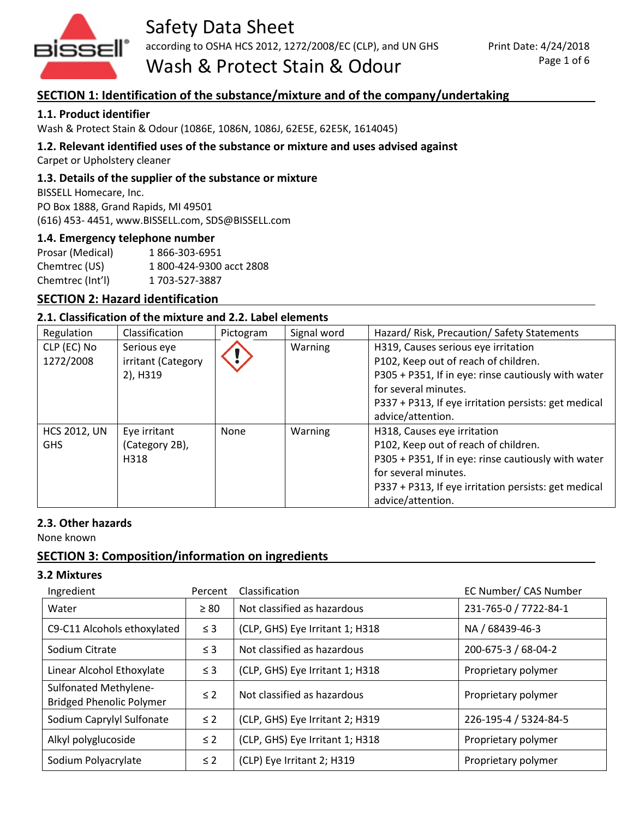

Safety Data Sheet

according to OSHA HCS 2012, 1272/2008/EC (CLP), and UN GHS

Print Date: 4/24/2018 Page 1 of 6

# Wash & Protect Stain & Odour

# **SECTION 1: Identification of the substance/mixture and of the company/undertaking**

#### **1.1. Product identifier**

Wash & Protect Stain & Odour (1086E, 1086N, 1086J, 62E5E, 62E5K, 1614045)

#### **1.2. Relevant identified uses of the substance or mixture and uses advised against**

Carpet or Upholstery cleaner

#### **1.3. Details of the supplier of the substance or mixture**

BISSELL Homecare, Inc. PO Box 1888, Grand Rapids, MI 49501 (616) 453- 4451, www.BISSELL.com, SDS@BISSELL.com

#### **1.4. Emergency telephone number**

| Prosar (Medical) | 1866-303-6951            |
|------------------|--------------------------|
| Chemtrec (US)    | 1 800-424-9300 acct 2808 |
| Chemtrec (Int'l) | 1 703-527-3887           |

# **SECTION 2: Hazard identification**

#### **2.1. Classification of the mixture and 2.2. Label elements**

| Regulation          | Classification     | Pictogram | Signal word | Hazard/Risk, Precaution/Safety Statements            |
|---------------------|--------------------|-----------|-------------|------------------------------------------------------|
| CLP (EC) No         | Serious eye        |           | Warning     | H319, Causes serious eye irritation                  |
| 1272/2008           | irritant (Category |           |             | P102, Keep out of reach of children.                 |
|                     | 2), H319           |           |             | P305 + P351, If in eye: rinse cautiously with water  |
|                     |                    |           |             | for several minutes.                                 |
|                     |                    |           |             | P337 + P313, If eye irritation persists: get medical |
|                     |                    |           |             | advice/attention.                                    |
| <b>HCS 2012, UN</b> | Eye irritant       | None      | Warning     | H318, Causes eye irritation                          |
| <b>GHS</b>          | (Category 2B),     |           |             | P102, Keep out of reach of children.                 |
|                     | H318               |           |             | P305 + P351, If in eye: rinse cautiously with water  |
|                     |                    |           |             | for several minutes.                                 |
|                     |                    |           |             | P337 + P313, If eye irritation persists: get medical |
|                     |                    |           |             | advice/attention.                                    |

#### **2.3. Other hazards**

None known

# **SECTION 3: Composition/information on ingredients**

#### **3.2 Mixtures**

| Ingredient                                               | Percent   | Classification                  | EC Number/ CAS Number |
|----------------------------------------------------------|-----------|---------------------------------|-----------------------|
| Water                                                    | $\geq 80$ | Not classified as hazardous     | 231-765-0 / 7722-84-1 |
| C9-C11 Alcohols ethoxylated                              | $\leq$ 3  | (CLP, GHS) Eye Irritant 1; H318 | NA / 68439-46-3       |
| Sodium Citrate                                           | $\leq$ 3  | Not classified as hazardous     | 200-675-3 / 68-04-2   |
| Linear Alcohol Ethoxylate                                | $\leq 3$  | (CLP, GHS) Eye Irritant 1; H318 | Proprietary polymer   |
| Sulfonated Methylene-<br><b>Bridged Phenolic Polymer</b> | $\leq 2$  | Not classified as hazardous     | Proprietary polymer   |
| Sodium Caprylyl Sulfonate                                | $\leq$ 2  | (CLP, GHS) Eye Irritant 2; H319 | 226-195-4 / 5324-84-5 |
| Alkyl polyglucoside                                      | $\leq 2$  | (CLP, GHS) Eye Irritant 1; H318 | Proprietary polymer   |
| Sodium Polyacrylate                                      | $\leq 2$  | (CLP) Eye Irritant 2; H319      | Proprietary polymer   |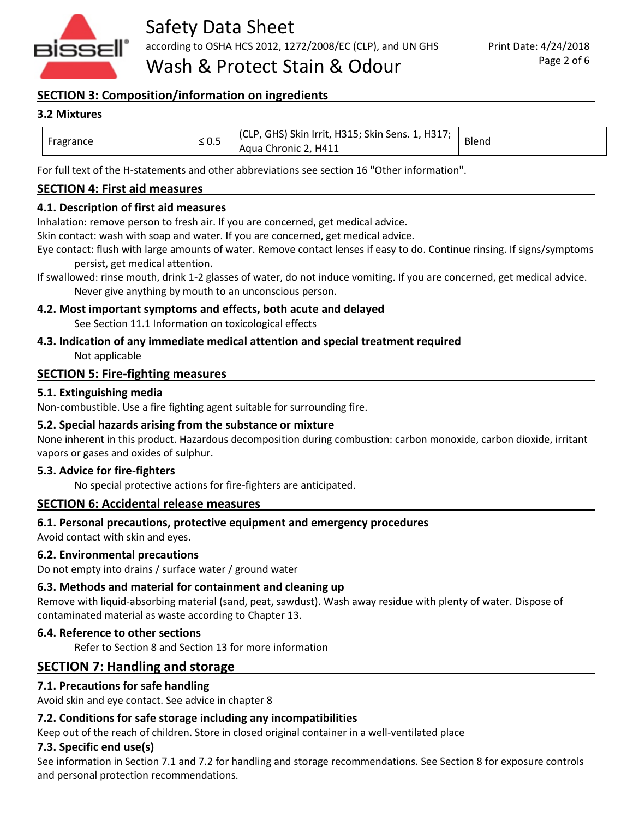

# **SECTION 3: Composition/information on ingredients**

#### **3.2 Mixtures**

| Fragrance | $\leq 0.5$ | (CLP, GHS) Skin Irrit, H315; Skin Sens. 1, H317;  <br>Aqua Chronic 2, H411 | Blend |
|-----------|------------|----------------------------------------------------------------------------|-------|
|-----------|------------|----------------------------------------------------------------------------|-------|

For full text of the H-statements and other abbreviations see section 16 "Other information".

#### **SECTION 4: First aid measures**

#### **4.1. Description of first aid measures**

Inhalation: remove person to fresh air. If you are concerned, get medical advice.

Skin contact: wash with soap and water. If you are concerned, get medical advice.

Eye contact: flush with large amounts of water. Remove contact lenses if easy to do. Continue rinsing. If signs/symptoms persist, get medical attention.

#### **4.2. Most important symptoms and effects, both acute and delayed**

See Section 11.1 Information on toxicological effects

# **4.3. Indication of any immediate medical attention and special treatment required**

Not applicable

#### **SECTION 5: Fire-fighting measures**

#### **5.1. Extinguishing media**

Non-combustible. Use a fire fighting agent suitable for surrounding fire.

#### **5.2. Special hazards arising from the substance or mixture**

None inherent in this product. Hazardous decomposition during combustion: carbon monoxide, carbon dioxide, irritant vapors or gases and oxides of sulphur.

#### **5.3. Advice for fire-fighters**

No special protective actions for fire-fighters are anticipated.

#### **SECTION 6: Accidental release measures**

#### **6.1. Personal precautions, protective equipment and emergency procedures**

Avoid contact with skin and eyes.

#### **6.2. Environmental precautions**

Do not empty into drains / surface water / ground water

#### **6.3. Methods and material for containment and cleaning up**

Remove with liquid-absorbing material (sand, peat, sawdust). Wash away residue with plenty of water. Dispose of contaminated material as waste according to Chapter 13.

#### **6.4. Reference to other sections**

Refer to Section 8 and Section 13 for more information

# **SECTION 7: Handling and storage**

#### **7.1. Precautions for safe handling**

Avoid skin and eye contact. See advice in chapter 8

#### **7.2. Conditions for safe storage including any incompatibilities**

Keep out of the reach of children. Store in closed original container in a well-ventilated place

#### **7.3. Specific end use(s)**

See information in Section 7.1 and 7.2 for handling and storage recommendations. See Section 8 for exposure controls and personal protection recommendations.

If swallowed: rinse mouth, drink 1-2 glasses of water, do not induce vomiting. If you are concerned, get medical advice. Never give anything by mouth to an unconscious person.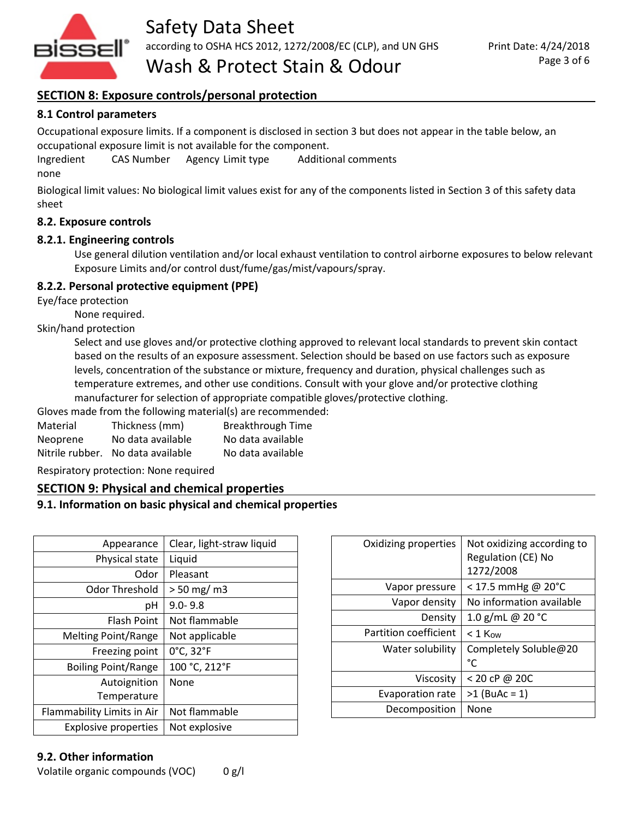

Wash & Protect Stain & Odour

# **SECTION 8: Exposure controls/personal protection**

#### **8.1 Control parameters**

Occupational exposure limits. If a component is disclosed in section 3 but does not appear in the table below, an occupational exposure limit is not available for the component.

Ingredient CAS Number Agency Limit type Additional comments

none

Biological limit values: No biological limit values exist for any of the components listed in Section 3 of this safety data sheet

#### **8.2. Exposure controls**

#### **8.2.1. Engineering controls**

Use general dilution ventilation and/or local exhaust ventilation to control airborne exposures to below relevant Exposure Limits and/or control dust/fume/gas/mist/vapours/spray.

# **8.2.2. Personal protective equipment (PPE)**

Eye/face protection

None required.

Skin/hand protection

Select and use gloves and/or protective clothing approved to relevant local standards to prevent skin contact based on the results of an exposure assessment. Selection should be based on use factors such as exposure levels, concentration of the substance or mixture, frequency and duration, physical challenges such as temperature extremes, and other use conditions. Consult with your glove and/or protective clothing manufacturer for selection of appropriate compatible gloves/protective clothing.

Gloves made from the following material(s) are recommended:

| Material        | Thickness (mm)    | <b>Breakthrough Time</b> |
|-----------------|-------------------|--------------------------|
| Neoprene        | No data available | No data available        |
| Nitrile rubber. | No data available | No data available        |

Respiratory protection: None required

#### **SECTION 9: Physical and chemical properties**

#### **9.1. Information on basic physical and chemical properties**

| Appearance                  | Clear, light-straw liquid |
|-----------------------------|---------------------------|
| Physical state              | Liquid                    |
| Odor                        | Pleasant                  |
| Odor Threshold              | $> 50$ mg/ m3             |
| рH                          | $9.0 - 9.8$               |
| Flash Point                 | Not flammable             |
| Melting Point/Range         | Not applicable            |
| Freezing point              | 0°C, 32°F                 |
| <b>Boiling Point/Range</b>  | 100 °C, 212°F             |
| Autoignition                | None                      |
| Temperature                 |                           |
| Flammability Limits in Air  | Not flammable             |
| <b>Explosive properties</b> | Not explosive             |

# **9.2. Other information**

Volatile organic compounds (VOC) 0 g/l

| Oxidizing properties    | Not oxidizing according to<br>Regulation (CE) No<br>1272/2008 |
|-------------------------|---------------------------------------------------------------|
| Vapor pressure          | $<$ 17.5 mmHg @ 20°C                                          |
| Vapor density           | No information available                                      |
| Density                 | 1.0 g/mL @ 20 °C                                              |
| Partition coefficient   | $< 1$ Kow                                                     |
| Water solubility        | Completely Soluble@20<br>°C                                   |
| Viscosity               | < 20 cP @ 20C                                                 |
| <b>Evaporation rate</b> | $>1$ (BuAc = 1)                                               |
| Decomposition           | None                                                          |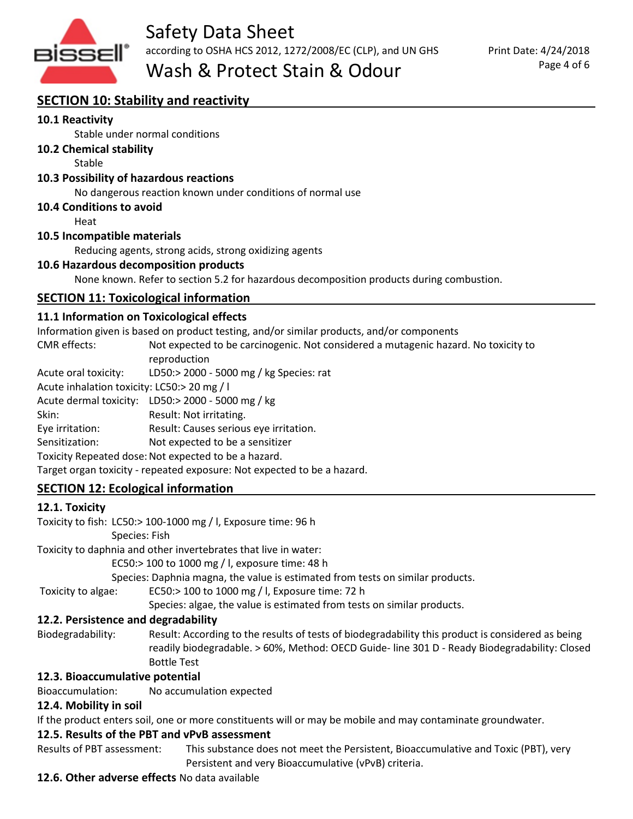

# Wash & Protect Stain & Odour

# **SECTION 10: Stability and reactivity**

#### **10.1 Reactivity**

Stable under normal conditions

**10.2 Chemical stability**

Stable

#### **10.3 Possibility of hazardous reactions**

No dangerous reaction known under conditions of normal use

#### **10.4 Conditions to avoid**

Heat

#### **10.5 Incompatible materials**

Reducing agents, strong acids, strong oxidizing agents

#### **10.6 Hazardous decomposition products**

None known. Refer to section 5.2 for hazardous decomposition products during combustion.

# **SECTION 11: Toxicological information**

#### **11.1 Information on Toxicological effects**

Information given is based on product testing, and/or similar products, and/or components

CMR effects: Not expected to be carcinogenic. Not considered a mutagenic hazard. No toxicity to reproduction Acute oral toxicity: LD50:> 2000 - 5000 mg / kg Species: rat

Acute inhalation toxicity: LC50:> 20 mg / l

Acute dermal toxicity: LD50:> 2000 - 5000 mg / kg

Skin: Result: Not irritating.

Eye irritation: Result: Causes serious eye irritation.

Sensitization: Not expected to be a sensitizer

Toxicity Repeated dose: Not expected to be a hazard.

Target organ toxicity - repeated exposure: Not expected to be a hazard.

# **SECTION 12: Ecological information**

#### **12.1. Toxicity**

Toxicity to fish: LC50:> 100-1000 mg / l, Exposure time: 96 h

Species: Fish

Toxicity to daphnia and other invertebrates that live in water:

EC50:> 100 to 1000 mg / l, exposure time: 48 h

Species: Daphnia magna, the value is estimated from tests on similar products.

Toxicity to algae: EC50:> 100 to 1000 mg / l, Exposure time: 72 h

Species: algae, the value is estimated from tests on similar products.

# **12.2. Persistence and degradability**

Biodegradability: Result: According to the results of tests of biodegradability this product is considered as being readily biodegradable. > 60%, Method: OECD Guide- line 301 D - Ready Biodegradability: Closed Bottle Test

#### **12.3. Bioaccumulative potential**

Bioaccumulation: No accumulation expected

#### **12.4. Mobility in soil**

If the product enters soil, one or more constituents will or may be mobile and may contaminate groundwater.

#### **12.5. Results of the PBT and vPvB assessment**

Results of PBT assessment: This substance does not meet the Persistent, Bioaccumulative and Toxic (PBT), very Persistent and very Bioaccumulative (vPvB) criteria.

#### **12.6. Other adverse effects** No data available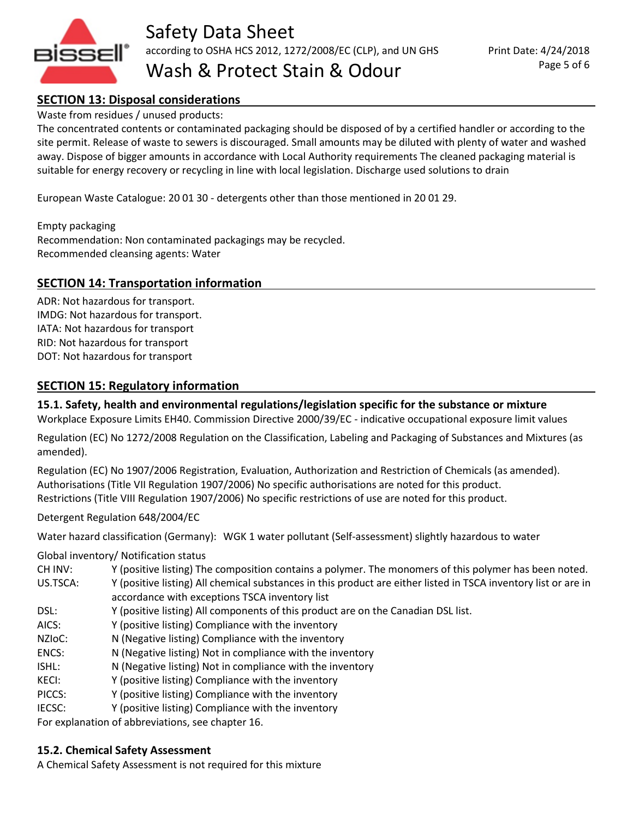

Safety Data Sheet according to OSHA HCS 2012, 1272/2008/EC (CLP), and UN GHS

Wash & Protect Stain & Odour

# **SECTION 13: Disposal considerations**

#### Waste from residues / unused products:

The concentrated contents or contaminated packaging should be disposed of by a certified handler or according to the site permit. Release of waste to sewers is discouraged. Small amounts may be diluted with plenty of water and washed away. Dispose of bigger amounts in accordance with Local Authority requirements The cleaned packaging material is suitable for energy recovery or recycling in line with local legislation. Discharge used solutions to drain

European Waste Catalogue: 20 01 30 - detergents other than those mentioned in 20 01 29.

Empty packaging Recommendation: Non contaminated packagings may be recycled. Recommended cleansing agents: Water

#### **SECTION 14: Transportation information**

ADR: Not hazardous for transport. IMDG: Not hazardous for transport. IATA: Not hazardous for transport RID: Not hazardous for transport DOT: Not hazardous for transport

#### **SECTION 15: Regulatory information**

**15.1. Safety, health and environmental regulations/legislation specific for the substance or mixture** Workplace Exposure Limits EH40. Commission Directive 2000/39/EC - indicative occupational exposure limit values

Regulation (EC) No 1272/2008 Regulation on the Classification, Labeling and Packaging of Substances and Mixtures (as amended).

Regulation (EC) No 1907/2006 Registration, Evaluation, Authorization and Restriction of Chemicals (as amended). Authorisations (Title VII Regulation 1907/2006) No specific authorisations are noted for this product. Restrictions (Title VIII Regulation 1907/2006) No specific restrictions of use are noted for this product.

Detergent Regulation 648/2004/EC

Water hazard classification (Germany): WGK 1 water pollutant (Self-assessment) slightly hazardous to water

Global inventory/ Notification status

| CH INV:             | Y (positive listing) The composition contains a polymer. The monomers of this polymer has been noted.           |
|---------------------|-----------------------------------------------------------------------------------------------------------------|
| US.TSCA:            | Y (positive listing) All chemical substances in this product are either listed in TSCA inventory list or are in |
|                     | accordance with exceptions TSCA inventory list                                                                  |
| DSL:                | Y (positive listing) All components of this product are on the Canadian DSL list.                               |
| AICS:               | Y (positive listing) Compliance with the inventory                                                              |
| NZI <sub>O</sub> C: | N (Negative listing) Compliance with the inventory                                                              |
| ENCS:               | N (Negative listing) Not in compliance with the inventory                                                       |
| ISHL:               | N (Negative listing) Not in compliance with the inventory                                                       |
| KECI:               | Y (positive listing) Compliance with the inventory                                                              |
| PICCS:              | Y (positive listing) Compliance with the inventory                                                              |
| IECSC:              | Y (positive listing) Compliance with the inventory                                                              |
|                     | For explanation of abbreviations, see chapter 16.                                                               |

For explanation of abbreviations, see chapter 16.

#### **15.2. Chemical Safety Assessment**

A Chemical Safety Assessment is not required for this mixture